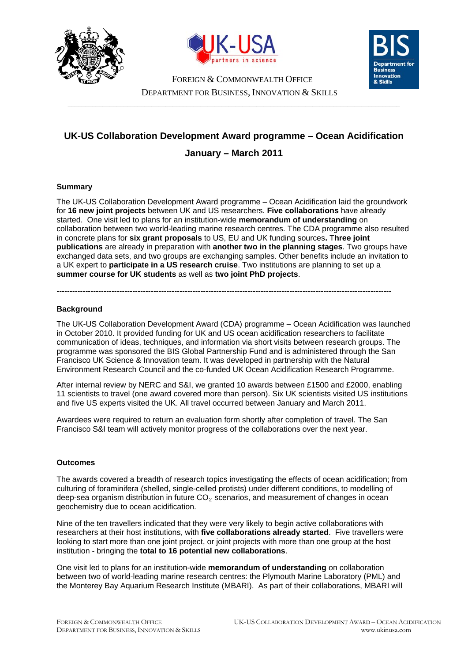





FOREIGN & COMMONWEALTH OFFICE DEPARTMENT FOR BUSINESS, INNOVATION & SKILLS

 $\_$  ,  $\_$  ,  $\_$  ,  $\_$  ,  $\_$  ,  $\_$  ,  $\_$  ,  $\_$  ,  $\_$  ,  $\_$  ,  $\_$  ,  $\_$  ,  $\_$  ,  $\_$  ,  $\_$  ,  $\_$  ,  $\_$  ,  $\_$  ,  $\_$  ,  $\_$  ,  $\_$  ,  $\_$  ,  $\_$  ,  $\_$  ,  $\_$  ,  $\_$  ,  $\_$  ,  $\_$  ,  $\_$  ,  $\_$  ,  $\_$  ,  $\_$  ,  $\_$  ,  $\_$  ,  $\_$  ,  $\_$  ,  $\_$  ,

# **UK-US Collaboration Development Award programme – Ocean Acidification January – March 2011**

## **Summary**

The UK-US Collaboration Development Award programme – Ocean Acidification laid the groundwork for **16 new joint projects** between UK and US researchers. **Five collaborations** have already started. One visit led to plans for an institution-wide **memorandum of understanding** on collaboration between two world-leading marine research centres. The CDA programme also resulted in concrete plans for **six grant proposals** to US, EU and UK funding sources**.** T**hree joint publications** are already in preparation with **another two in the planning stages**. Two groups have exchanged data sets, and two groups are exchanging samples. Other benefits include an invitation to a UK expert to **participate in a US research cruise**. Two institutions are planning to set up a **summer course for UK students** as well as **two joint PhD projects**.

--------------------------------------------------------------------------------------------------------------------------------

# **Background**

The UK-US Collaboration Development Award (CDA) programme – Ocean Acidification was launched in October 2010. It provided funding for UK and US ocean acidification researchers to facilitate communication of ideas, techniques, and information via short visits between research groups. The programme was sponsored the BIS Global Partnership Fund and is administered through the San Francisco UK Science & Innovation team. It was developed in partnership with the Natural Environment Research Council and the co-funded UK Ocean Acidification Research Programme.

After internal review by NERC and S&I, we granted 10 awards between £1500 and £2000, enabling 11 scientists to travel (one award covered more than person). Six UK scientists visited US institutions and five US experts visited the UK. All travel occurred between January and March 2011.

Awardees were required to return an evaluation form shortly after completion of travel. The San Francisco S&I team will actively monitor progress of the collaborations over the next year.

## **Outcomes**

The awards covered a breadth of research topics investigating the effects of ocean acidification; from culturing of foraminifera (shelled, single-celled protists) under different conditions, to modelling of deep-sea organism distribution in future  $CO<sub>2</sub>$  scenarios, and measurement of changes in ocean geochemistry due to ocean acidification.

Nine of the ten travellers indicated that they were very likely to begin active collaborations with researchers at their host institutions, with **five collaborations already started**. Five travellers were looking to start more than one joint project, or joint projects with more than one group at the host institution - bringing the **total to 16 potential new collaborations**.

One visit led to plans for an institution-wide **memorandum of understanding** on collaboration between two of world-leading marine research centres: the Plymouth Marine Laboratory (PML) and the Monterey Bay Aquarium Research Institute (MBARI). As part of their collaborations, MBARI will